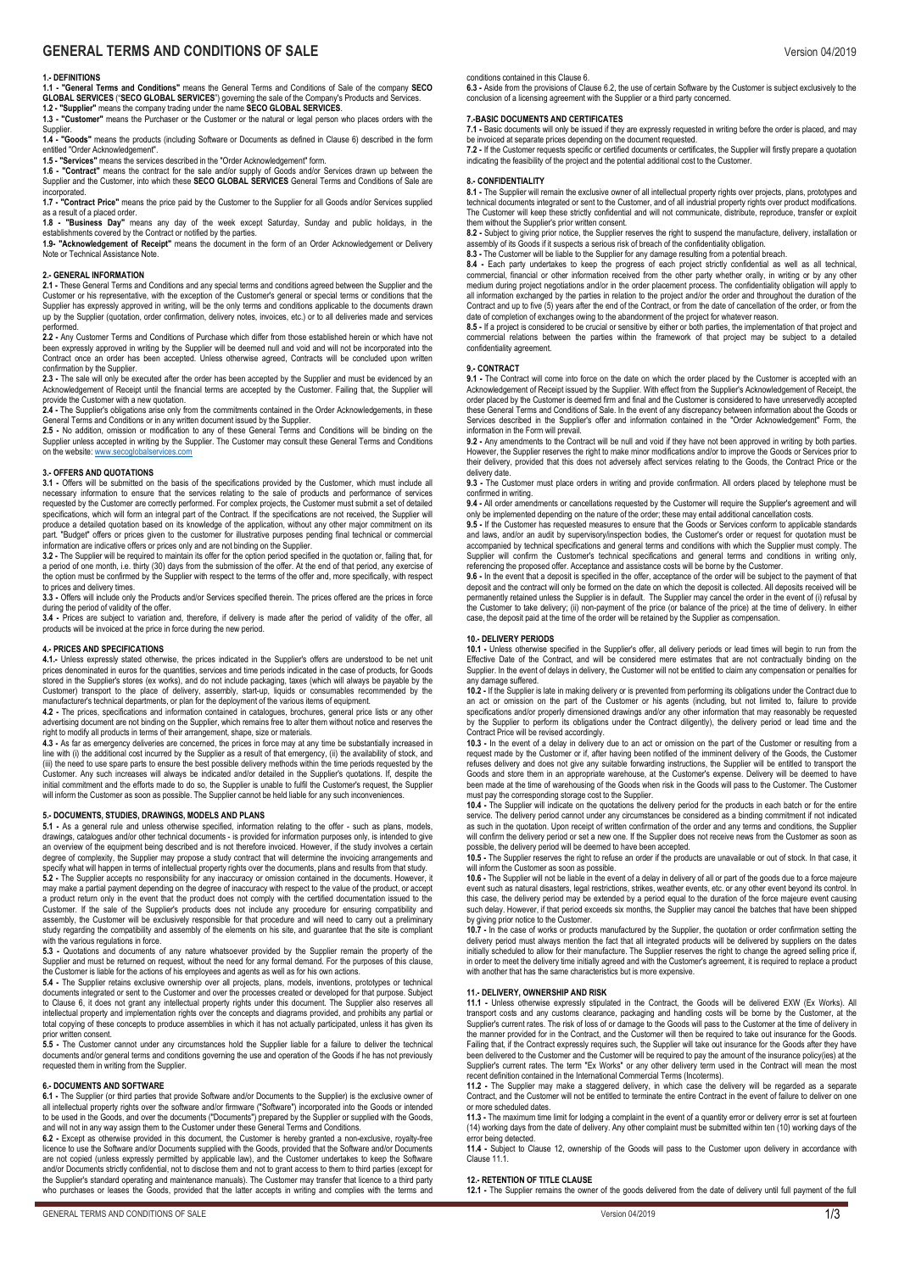# **GENERAL TERMS AND CONDITIONS OF SALE** Version 04/2019

## **1.- DEFINITIONS**

**1.1 - "General Terms and Conditions"** means the General Terms and Conditions of Sale of the company **SECO GLOBAL SERVICES** ("**SECO GLOBAL SERVICES**") governing the sale of the Company's Products and Services.

**1.2 - "Supplier"** means the company trading under the name **SECO GLOBAL SERVICES**. **1.3 - "Customer"** means the Purchaser or the Customer or the natural or legal person who places orders with the Supplier

**1.4 - "Goods"** means the products (including Software or Documents as defined in Clause 6) described in the form entitled "Order Acknowledgement".

**1.5 - "Services"** means the services described in the "Order Acknowledgement" form. **1.6 - "Contract"** means the contract for the sale and/or supply of Goods and/or Services drawn up between the Supplier and the Customer, into which these **SECO GLOBAL SERVICES** General Terms and Conditions of Sale are incorporated.

**1.7 - "Contract Price"** means the price paid by the Customer to the Supplier for all Goods and/or Services supplied as a result of a placed order.

**1.8 - "Business Day"** means any day of the week except Saturday, Sunday and public holidays, in the establishments covered by the Contract or notified by the parties.

1.9- establishments covered by the Contract or notified by the parties.<br>**1.9- "Acknowledgement of Receipt"** means the document in the form of an Order Acknowledgement or Delivery Note or Technical Assistance Note

## **2.- GENERAL INFORMATION**

**2.1 -** These General Terms and Conditions and any special terms and conditions agreed between the Supplier and the Customer or his representative, with the exception of the Customer's general or special terms or conditions that the<br>Supplier has expressly approved in writing, will be the only terms and conditions applicable to the docum up by the Supplier (quotation, order confirmation, delivery notes, invoices, etc.) or to all deliveries made and services

performed.<br>**2.2 -** Any Customer Terms and Conditions of Purchase which differ from those established herein or which have not been expressly approved in writing by the Supplier will be deemed null and void and will not be incorporated into the<br>Contract once an order has been accepted. Unless otherwise agreed, Contracts will be concluded upon writ confirmation by the Supplier.

**2.3 -** The sale will only be executed after the order has been accepted by the Supplier and must be evidenced by an<br>Acknowledgement of Receipt until the financial terms are accepted by the Customer. Failing that, the Supp

provide the Customer with a new quotation.<br>**2.4 -** The Supplier's obligations arise only from the commitments contained in the Order Acknowledgements, in these General Terms and Conditions or in any written document issued by the Supplier.

**2.5 -** No addition, omission or modification to any of these General Terms and Conditions will be binding on the Supplier unless accepted in writing by the Supplier. The Customer may consult these General Terms and Conditions on the website: www.secoglobalse

## **3.- OFFERS AND QUOTATIONS**

**3.1 -** Offers will be submitted on the basis of the specifications provided by the Customer, which must include all necessary information to ensure that the services relating to the sale of products and performance of services<br>requested by the Customer are correctly performed. For complex projects, the Customer must submit a set of deta specifications, which will form an integral part of the Contract. If the specifications are not received, the Supplier will produce a detailed quotation based on its knowledge of the application, without any other major commitment on its<br>part. "Budget" offers or prices given to the customer for illustrative purposes pending final technical or c information are indicative offers or prices only and are not binding on the Supplier.

**3.2 -** The Supplier will be required to maintain its offer for the option period specified in the quotation or, failing that, for a period of one month, i.e. thirty (30) days from the submission of the offer. At the end of that period, any exercise of<br>the option must be confirmed by the Supplier with respect to the terms of the offer and, more specif to prices and delivery times.

**3.3 -** Offers will include only the Products and/or Services specified therein. The prices offered are the prices in force during the period of validity of the offer.

**3.4 -** Prices are subject to variation and, therefore, if delivery is made after the period of validity of the offer, all products will be invoiced at the price in force during the new period.

## **4.- PRICES AND SPECIFICATIONS**

**4.1.-** Unless expressly stated otherwise, the prices indicated in the Supplier's offers are understood to be net unit prices denominated in euros for the quantities, services and time periods indicated in the case of products, for Goods stored in the Supplier's stores (ex works), and do not include packaging, taxes (which will always be payable by the<br>Customer) transport to the place of delivery, assembly, start-up, liquids or consumables recommended by t

**4.2 -** The prices, specifications and information contained in catalogues, brochures, general price lists or any other advertising document are not binding on the Supplier, which remains free to alter them without notice and reserves the<br>right to modify all products in terms of their arrangement, shape, size or materials.<br>4.3 - As far as e

line with (i) the additional cost incurred by the Supplier as a result of that emergency, (ii) the availability of stock, and<br>(iii) the need to use spare parts to ensure the best possible delivery methods within the time p Customer. Any such increases will always be indicated and/or detailed in the Supplier's quotations. If, despite the initial commitment and the efforts made to do so, the Supplier is unable to fulfil the Customer's request, the Supplier will inform the Customer as soon as possible. The Supplier cannot be held liable for any such inconveniences

## **5.- DOCUMENTS, STUDIES, DRAWINGS, MODELS AND PLANS**

**5.1 -** As a general rule and unless otherwise specified, information relating to the offer - such as plans, models, drawings, catalogues and/or other technical documents - is provided for information purposes only, is intended to give an overview of the equipment being described and is not therefore invoiced. However, if the study involves a cert degree of complexity, the Supplier may propose a study contract that will determine the invoicing arrangements and<br>specify what will happen in terms of intellectual property rights over the documents, plans and results fro may make a partial payment depending on the degree of inaccuracy with respect to the value of the product, or accept a product return only in the event that the product does not comply with the certified documentation issued to the Customer. If the sale of the Supplier's products does not include any procedure for ensuring compatibility and<br>assembly, the Customer will be exclusively responsible for that procedure and will need to carry out a prelimin study regarding the compatibility and assembly of the elements on his site, and guarantee that the site is compliant yar any the semperating and

**5.3 -** Quotations and documents of any nature whatsoever provided by the Supplier remain the property of the Supplier and must be returned on request, without the need for any formal demand. For the purposes of this clause,<br>the Customer is liable for the actions of his employees and agents as well as for his own actions.

**5.4 -** The Supplier retains exclusive ownership over all projects, plans, models, inventions, prototypes or technical documents integrated or sent to the Customer and over the processes created or developed for that purpose. Subject to Clause 6, it does not grant any intellectual property rights under this document. The Supplier also reserves all<br>intellectual property and implementation rights over the concepts and diagrams provided, and prohibits any total copying of these concepts to produce assemblies in which it has not actually participated, unless it has given its

prior written consent.<br>**5.5 -** The Customer cannot under any circumstances hold the Supplier liable for a failure to deliver the technical documents and/or general terms and conditions governing the use and operation of the Goods if he has not previously requested them in writing from the Supplier.

## **6.- DOCUMENTS AND SOFTWARE**

6.1 - The Supplier (or third parties that provide Software and/or Documents to the Supplier) is the exclusive owner of<br>all intellectual property rights over the software and/or firmware ("Software") incorporated into the G to be used in the Goods, and over the documents ("Documents") prepared by the Supplier or supplied with the Goods, and will not in any way assign them to the Customer under these General Terms and Conditions.

6.2 - Except as otherwise provided in this document, the Customer is hereby granted a non-exclusive, royalty-free<br>licence to use the Software and/or Documents supplied with the Goods, provided that the Software and/or Docu are not copied (unless expressly permitted by applicable law), and the Customer undertakes to keep the Software<br>and/or Documents strictly confidential, not to disclose them and not to grant access to them to third parties who purchases or leases the Goods, provided that the latter accepts in writing and complies with the terms and **6.3 -** Aside from the provisions of Clause 6.2, the use of certain Software by the Customer is subject exclusively to the conclusion of a licensing agreement with the Supplier or a third party concerned.

#### **7.-BASIC DOCUMENTS AND CERTIFICATES**

7.1 - Basic documents will only be issued if they are expressly requested in writing before the order is placed, and may<br>be invoiced at separate prices depending on the document requested.<br>7.2 - If the Customer requests sp

In the castellation of the project and the potential additional cost to the Customer.

#### **8.- CONFIDENTIALITY**

**8.1 -** The Supplier will remain the exclusive owner of all intellectual property rights over projects, plans, prototypes and technical documents integrated or sent to the Customer, and of all industrial property rights over product modifications.<br>The Customer will keep these strictly confidential and will not communicate, distribute, reproduce, them without the Supplier's prior written consent.

**8.2 -** Subject to giving prior notice, the Supplier reserves the right to suspend the manufacture, delivery, installation or assembly of its Goods if it suspects a serious risk of breach of the confidentiality obligation.

**8.3 -** The Customer will be liable to the Supplier for any damage resulting from a potential breach. **8.4 -** Each party undertakes to keep the progress of each project strictly confidential as well as all technical,<br>commercial, financial or other information received from the other party whether orally, in writing or by a medium during project negotiations and/or in the order placement process. The confidentiality obligation will apply to

all information exchanged by the parties in relation to the project and/or the order and throughout the duration of the<br>Contract and up to five (5) years after the end of the Contract, or from the date of cancellation of t date of completion of exchanges owing to the abandonment of the project for whatever reason.<br>**8.5 -** If a project is considered to be crucial or sensitive by either or both parties, the implementation of that project and

commercial relations between the parties within the framework of that project may be subject to a detailed confidentiality agreement.

## **9.- CONTRACT**

9.1 - The Contract will come into force on the date on which the order placed by the Customer is accepted with an<br>Acknowledgement of Receipt issued by the Supplier. With effect from the Supplier's Acknowledgement of Receip these General Terms and Conditions of Sale. In the event of any discrepancy between information about the Goods or<br>Services described in the Supplier's offer and information contained in the "Order Acknowledgement" Form, t information in the Form will prevail.

**9.2 -** Any amendments to the Contract will be null and void if they have not been approved in writing by both parties. However, the Supplier reserves the right to make minor modifications and/or to improve the Goods or Services prior to<br>their delivery, provided that this does not adversely affect services relating to the Goods, the Contrac delivery date.

**9.3 -** The Customer must place orders in writing and provide confirmation. All orders placed by telephone must be confirmed in writing.

**9.4 -** All order amendments or cancellations requested by the Customer will require the Supplier's agreement and will only be implemented depending on the nature of the order; these may entail additional cancellation costs.

**9.5 -** If the Customer has requested measures to ensure that the Goods or Services conform to applicable standards<br>and laws, and/or an audit by supervisory/inspection bodies, the Customer's order or request for quotation accompanied by technical specifications and general terms and conditions with which the Supplier must comply. The<br>Supplier will confirm the Customer's technical specifications and general terms and conditions in writing on referencing the proposed offer. Acceptance and assistance costs will be borne by the Customer.

**9.6 -** In the event that a deposit is specified in the offer, acceptance of the order will be subject to the payment of that deposit and the contract will only be formed on the date on which the deposit is collected. All deposits received will be permanently retained unless the Supplier is in default. The Supplier may cancel the order in the event of (i) refusal by the Customer to take delivery; (ii) non-payment of the price (or balance of the price) at the time of delivery. In either<br>case, the deposit paid at the time of the order will be retained by the Supplier as compensation.

#### **10.- DELIVERY PERIODS**

**10.1 -** Unless otherwise specified in the Supplier's offer, all delivery periods or lead times will begin to run from the Effective Date of the Contract, and will be considered mere estimates that are not contractually binding on the Supplier. In the event of delays in delivery, the Customer will not be entitled to claim any compensation or penalties for any damage suffered.<br>**10.2 -** If the Supplier is late in making delivery or is prevented from performing its obligations under the Contract due to

an act or omission on the part of the Customer or his agents (including, but not limited to, failure to provide<br>specifications and/or properly dimensioned drawings and/or any other information that may reasonably be reques by the Supplier to perform its obligations under the Contract diligently), the delivery period or lead time and the Contract Price will be revised accordingly.

**10.3 -** In the event of a delay in delivery due to an act or omission on the part of the Customer or resulting from a<br>request made by the Customer or if, after having been notified of the imminent delivery of the Goods, t Goods and store them in an appropriate warehouse, at the Customer's expense. Delivery will be deemed to have been made at the time of warehousing of the Goods when risk in the Goods will pass to the Customer. The Customer

must pay the corresponding storage cost to the Supplier.<br>**10.4 -** The Supplier will indicate on the quotations the delivery period for the products in each batch or for the entire service. The delivery period cannot under any circumstances be considered as a binding commitment if not indicated<br>as such in the quotation. Upon receipt of written confirmation of the order and any terms and conditions, t will confirm the delivery period or set a new one. If the Supplier does not receive news from the Customer as soon as possible, the delivery period will be deemed to have been accepted.

**10.5 -** The Supplier reserves the right to refuse an order if the products are unavailable or out of stock. In that case, it will inform the Customer as soon as possible.<br>**10.6 -** The Supplier will not be liable in the event of a delay in delivery of all or part of the goods due to a force majeure

event such as natural disasters, legal restrictions, strikes, weather events, etc. or any other event beyond its control. In this case, the delivery period may be extended by a period equal to the duration of the force majeure event causing such delay. However, if that period exceeds six months, the Supplier may cancel the batches that have been shipped<br>by giving prior notice to the Customer.<br>**10.7 -** In the case of works or products manufactured by the Suppl

delivery period must always mention the fact that all integrated products will be delivered by suppliers on the dates<br>initially scheduled to allow for their manufacture. The Supplier reserves the right to change the agreed in order to meet the delivery time initially agreed and with the Customer's agreement, it is required to replace a product with another that has the same characteristics but is more expensive.

## **11.- DELIVERY, OWNERSHIP AND RISK**

11.1 - Unless otherwise expressly stipulated in the Contract, the Goods will be delivered EXW (Ex Works). All<br>transport costs and any customs clearance, packaging and handling costs will be borne by the Customer, at the Supplier's current rates. The risk of loss of or damage to the Goods will pass to the Customer at the time of delivery in<br>the manner provided for in the Contract, and the Customer will then be required to take out insuranc Failing that, if the Contract expressly requires such, the Supplier will take out insurance for the Goods after they have been delivered to the Customer and the Customer will be required to pay the amount of the insurance policy(ies) at the<br>Supplier's current rates. The term "Ex Works" or any other delivery term used in the Contract will mean

recent definition contained in the International Commercial Terms (Incoterms). **11.2 -** The Supplier may make a staggered delivery, in which case the delivery will be regarded as a separate Contract, and the Customer will not be entitled to terminate the entire Contract in the event of failure to deliver on one or more scheduled dates.

**11.3 -** The maximum time limit for lodging a complaint in the event of a quantity error or delivery error is set at fourteen (14) working days from the date of delivery. Any other complaint must be submitted within ten (10) working days of the

error being detected.<br>**11.4 -** Subject to Clause 12, ownership of the Goods will pass to the Customer upon delivery in accordance with<br>Clause 11.1.

#### **12.- RETENTION OF TITLE CLAUSE**

**12.1 -** The Supplier remains the owner of the goods delivered from the date of delivery until full payment of the full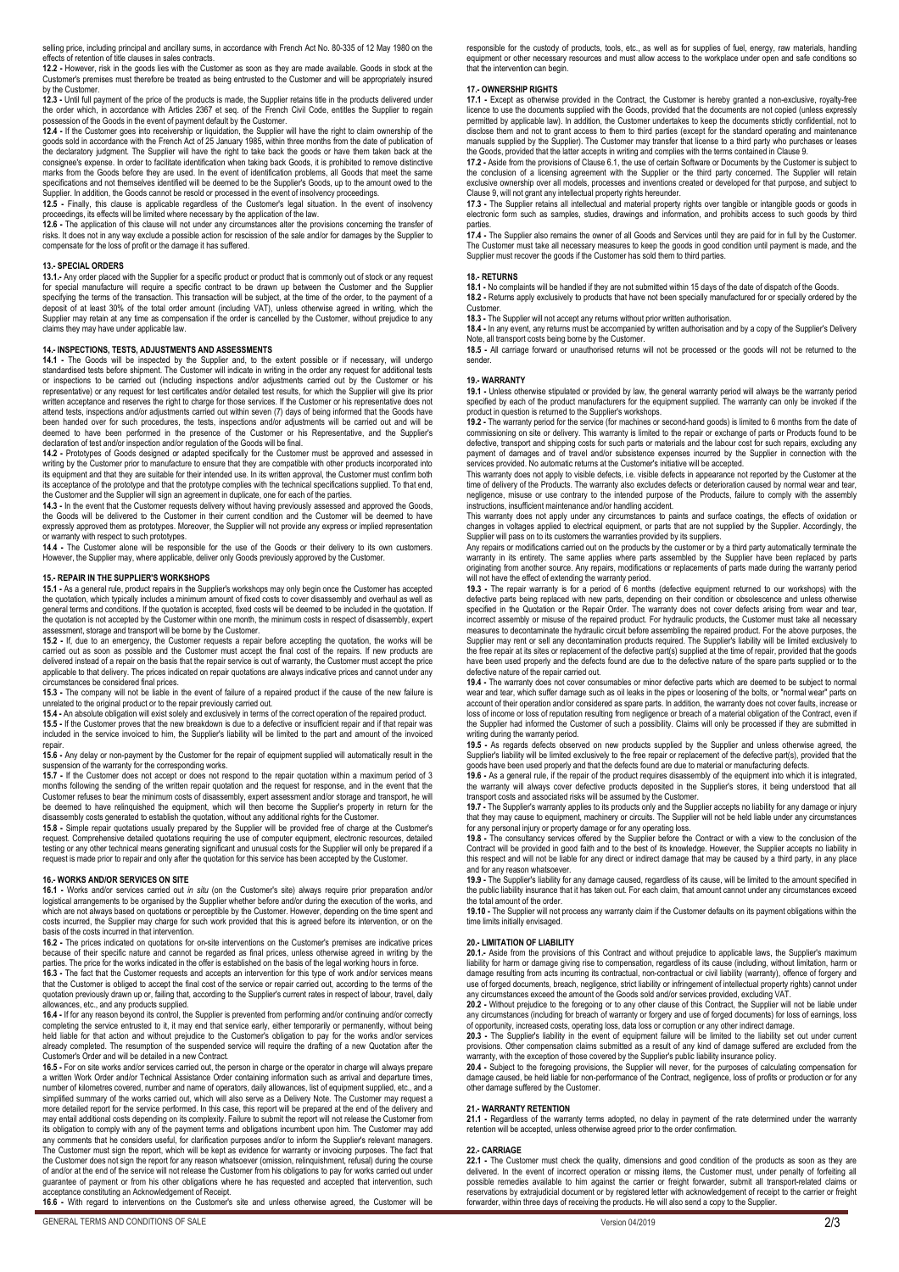selling price, including principal and ancillary sums, in accordance with French Act No. 80-335 of 12 May 1980 on the effects of retention of title clauses in sales contracts.

12.2 - However, risk in the goods lies with the Customer as soon as they are made available. Goods in stock at the<br>Customer's premises must therefore be treated as being entrusted to the Customer and will be appropriately by the Customer.

**12.3 -** Until full payment of the price of the products is made, the Supplier retains title in the products delivered under<br>the order which, in accordance with Articles 2367 et seq. of the French Civil Code, entitles the

**12.4 -** If the Customer goes into receivership or liquidation, the Supplier will have the right to claim ownership of the goods sold in accordance with the French Act of 25 January 1985, within three months from the date of publication of<br>the declaratory judgment. The Supplier will have the right to take back the goods or have them taken back marks from the Goods before they are used. In the event of identification problems, all Goods that meet the same specifications and not themselves identified will be deemed to be the Supplier's Goods, up to the amount owed to the Supplier. In addition, the Goods cannot be resold or processed in the event of insolvency proceedings*.* 

**12.5 -** Finally, this clause is applicable regardless of the Customer's legal situation. In the event of insolvency

proceedings, its effects will be limited where necessary by the application of the law.<br>12.6 - The application of this clause will not under any circumstances alter the provisions concerning the transfer of<br>risks. It does compensate for the loss of profit or the damage it has suffered.

#### **13.- SPECIAL ORDERS**

**13.1.-** Any order placed with the Supplier for a specific product or product that is commonly out of stock or any request for special manufacture will require a specific contract to be drawn up between the Customer and the Supplier specifying the terms of the transaction. This transaction will be subject, at the time of the order, to the payment of a deposit of at least 30% of the total order amount (including VAT), unless otherwise agreed in writing, which the<br>Supplier may retain at any time as compensation if the order is cancelled by the Customer, without prejudice claims they may have under applicable law.

## **14.- INSPECTIONS, TESTS, ADJUSTMENTS AND ASSESSMENTS**

**14.1 - The Goods will be inspected by the Supplier and, to the extent possible or if necessary, will undergo<br>standardised tests before shipment. The Customer will indicate in writing in the order any request for additiona** written acceptance and reserves the right to charge for those services. If the Customer or his representative does not attend tests, inspections and/or adjustments carried out within seven (7) days of being informed that the Goods have been handed over for such procedures, the tests, inspections and/or adjustments will be carried out and will be deemed to have been performed in the presence of the Customer or his Representative, and the Supplier's

declaration of test and/or inspection and/or regulation of the Goods will be final.<br>14.2 - Prototypes of Goods designed or adapted specifically for the Customer must be approved and assessed in<br>writing by the Customer prio its equipment and that they are suitable for their intended use. In its written approval, the Customer must confirm both its equipment and that they are suitable for their intended use. In its written approval, the Custome its acceptance of the prototype and that the prototype complies with the technical specifications supplied. To that end,

the Customer and the Supplier will sign an agreement in duplicate, one for each of the parties.<br>**14.3 -** In the event that the Customer requests delivery without having previously assessed and approved the Goods<br>the Goods

or warranty with respect to such prototypes.<br>14.4 - The Customer alone will be responsible for the use of the Goods or their delivery to its own customers.<br>However, the Supplier may, where applicable, deliver only Goods pr

## **15.- REPAIR IN THE SUPPLIER'S WORKSHOPS**

**15.1 -** As a general rule, product repairs in the Supplier's workshops may only begin once the Customer has accepted the quotation, which typically includes a minimum amount of fixed costs to cover disassembly and overhaul as well as general terms and conditions. If the quotation is accepted, fixed costs will be deemed to be included in the quotation. If<br>the quotation is not accepted by the Customer within one month, the minimum costs in respect of dis assessment, storage and transport will be borne by the Customer.

**15.2 -** If, due to an emergency, the Customer requests a repair before accepting the quotation, the works will be carried out as soon as possible and the Customer must accept the final cost of the repairs. If new products are delivered instead of a repair on the basis that the repair service is out of warranty, the Customer must accept the price applicable to that delivery. The prices indicated on repair quotations are always indicative prices and cannot under any

circumstances be considered final prices. **15.3 -** The company will not be liable in the event of failure of a repaired product if the cause of the new failure is unrelated to the original product or to the repair previously carried out.

**15.4 -** An absolute obligation will exist solely and exclusively in terms of the correct operation of the repaired product. **15.5 -** If the Customer proves that the new breakdown is due to a defective or insufficient repair and if that repair was<br>included in the service invoiced to him, the Supplier's liability will be limited to the part and a

repair. **15.6 -** Any delay or non-payment by the Customer for the repair of equipment supplied will automatically result in the

suspension of the warranty for the corresponding works.<br>**15.7** - If the Customer does not accept or does not respond to the repair quotation within a maximum period of 3 months following the sending of the written repair quotation and the request for response, and in the event that the Customer refuses to bear the minimum costs of disassembly, expert assessment and/or storage and transport, he will<br>be deemed to have relinquished the equipment, which will then become the Supplier's property in return for disassembly costs generated to establish the quotation, without any additional rights for the Customer.

**15.8 -** Simple repair quotations usually prepared by the Supplier will be provided free of charge at the Customer's request. Comprehensive detailed quotations requiring the use of computer equipment, electronic resources, detailed<br>testing or any other technical means generating significant and unusual costs for the Supplier will only be request is made prior to repair and only after the quotation for this service has been accepted by the Customer.

#### **16.- WORKS AND/OR SERVICES ON SITE**

**16.1 -** Works and/or services carried out *in situ* (on the Customer's site) always require prior preparation and/or logistical arrangements to be organised by the Supplier whether before and/or during the execution of the works, and<br>which are not always based on quotations or perceptible by the Customer. However, depending on the time s costs incurred, the Supplier may charge for such work provided that this is agreed before its intervention, or on the basis of the costs incurred in that intervention.

**16.2 -** The prices indicated on quotations for on-site interventions on the Customer's premises are indicative prices because of their specific nature and cannot be regarded as final prices, unless otherwise agreed in writing by the<br>parties. The price for the works indicated in the offer is established on the basis of the legal working ho

that the Customer is obliged to accept the final cost of the service or repair carried out, according to the terms of the quotation previously drawn up or, failing that, according to the Supplier's current rates in respect of labour, travel, daily allowances, etc., and any products supplied.

**16.4 -** If for any reason beyond its control, the Supplier is prevented from performing and/or continuing and/or correctly completing the service entrusted to it, it may end that service early, either temporarily or permanently, without being<br>held liable for that action and without prejudice to the Customer's obligation to pay for the works an already completed. The resumption of the suspended service will require the drafting of a new Quotation after the Customer's Order and will be detailed in a new Contract.

**16.5 -** For on site works and/or services carried out, the person in charge or the operator in charge will always prepare<br>a written Work Order and/or Technical Assistance Order containing information such as arrival and d number of kilometres covered, number and name of operators, daily allowances, list of equipment supplied, etc., and a simplified summary of the works carried out, which will also serve as a Delivery Note. The Customer may request a more detailed report for the service performed. In this case, this report will be prepared at the end of the delivery and<br>may entail additional costs depending on its complexity. Failure to submit the report will not relea its obligation to comply with any of the payment terms and obligations incumbent upon him. The Customer may add<br>any comments that he considers useful, for clarification purposes and/or to inform the Supplier's relevant man The Customer must sign the report, which will be kept as evidence for warranty or invoicing purposes. The fact that<br>the Customer does not sign the report for any reason whatsoever (omission, relinquishment, refusal) during guarantee of payment or from his other obligations where he has requested and accepted that intervention, such acceptance constituting an Acknowledgement of Receipt.

**16**.**6 -** With regard to interventions on the Customer's site and unless otherwise agreed, the Customer will be

responsible for the custody of products, tools, etc., as well as for supplies of fuel, energy, raw materials, handling equipment or other necessary resources and must allow access to the workplace under open and safe conditions so that the intervention can begin.

### **17.- OWNERSHIP RIGHTS**

**17.1 -** Except as otherwise provided in the Contract, the Customer is hereby granted a non-exclusive, royalty-free licence to use the documents supplied with the Goods, provided that the documents are not copied (unless expressly<br>permitted by applicable law). In addition, the Customer undertakes to keep the documents strictly confident disclose them and not to grant access to them to third parties (except for the standard operating and maintenance manuals supplied by the Supplier). The Customer may transfer that license to a third party who purchases or leases

the Goods, provided that the latter accepts in writing and complies with the terms contained in Clause 9.<br>**17.2 - A**side from the provisions of Clause 6.1, the use of certain Software or Documents by the Customer is subjec the conclusion of a licensing agreement with the Supplier or the third party concerned. The Supplier will retain exclusive ownership over all models, processes and inventions created or developed for that purpose, and subject to Clause 9, will not grant any intellectual property rights hereunder.

**17**.**3 -** The Supplier retains all intellectual and material property rights over tangible or intangible goods or goods in electronic form such as samples, studies, drawings and information, and prohibits access to such goods by third parties.<br>**17.4 -** The Supplier also remains the owner of all Goods and Services until they are paid for in full by the Customer.

The Customer must take all necessary measures to keep the goods in good condition until payment is made, and the<br>Supplier must recover the goods if the Customer has sold them to third parties.

## **18.- RETURNS**

**18.1 -** No complaints will be handled if they are not submitted within 15 days of the date of dispatch of the Goods.

**18.2 -** Returns apply exclusively to products that have not been specially manufactured for or specially ordered by the Customer.

**18.3 -** The Supplier will not accept any returns without prior written authorisation.

**18.4 -** In any event, any returns must be accompanied by written authorisation and by a copy of the Supplier's Delivery<br>Note, all transport costs being borne by the Customer.<br>**18.5 -** All carriage forward or unauthorised

sender.

#### **19.- WARRANTY**

**19.1 -** Unless otherwise stipulated or provided by law, the general warranty period will always be the warranty period specified by each of the product manufacturers for the equipment supplied. The warranty can only be invoked if the product in question is returned to the Supplier's workshops.

**19.2 -** The warranty period for the service (for machines or second-hand goods) is limited to 6 months from the date of commissioning on site or delivery. This warranty is limited to the repair or exchange of parts or Products found to be defective, transport and shipping costs for such parts or materials and the labour cost for such repairs, excluding any<br>payment of damages and of travel and/or subsistence expenses incurred by the Supplier in connection wi services provided. No automatic returns at the Customer's initiative will be accepted.

This warranty does not apply to visible defects, i.e. visible defects in appearance not reported by the Customer at the time of delivery of the Products. The warranty also excludes defects or deterioration caused by normal wear and tear, negligence, misuse or use contrary to the intended purpose of the Products, failure to comply with the assembly instructions, insufficient maintenance and/or handling accident.

This warranty does not apply under any circumstances to paints and surface coatings, the effects of oxidation or<br>changes in voltages applied to electrical equipment, or parts that are not supplied by the Supplier. Accordin

Supplier will pass on to its customers the warranties provided by its suppliers.<br>Any repairs or modifications carried out on the products by the customer or by a third party automatically terminate the warranty in its entirety. The same applies where parts assembled by the Supplier have been replaced by parts originating from another source. Any repairs, modifications or replacements of parts made during the warranty period will not have the effect of extending the warranty period.

**19.3 -** The repair warranty is for a period of 6 months (defective equipment returned to our workshops) with the defective parts being replaced with new parts, depending on their condition or obsolescence and unless otherwise<br>specified in the Quotation or the Repair Order. The warranty does not cover defects arising from wear and tea measures to decontaminate the hydraulic circuit before assembling the repaired product. For the above purposes, the<br>Supplier may rent or sell any decontamination products required. The Supplier's liability will be limited the free repair at its sites or replacement of the defective part(s) supplied at the time of repair, provided that the goods<br>have been used properly and the defects found are due to the defective nature of the spare parts defective nature of the repair carried out.

**19.4 -** The warranty does not cover consumables or minor defective parts which are deemed to be subject to normal<br>wear and tear, which suffer damage such as oil leaks in the pipes or loosening of the bolts, or "normal wea account of their operation and/or considered as spare parts. In addition, the warranty does not cover faults, increase or loss of income or loss of reputation resulting from negligence or breach of a material obligation of the Contract, even if<br>the Supplier had informed the Customer of such a possibility. Claims will only be processed if they writing during the warranty period.

**19.5 -** As regards defects observed on new products supplied by the Supplier and unless otherwise agreed, the Supplier's liability will be limited exclusively to the free repair or replacement of the defective part(s), provided that the

goods have been used properly and that the defects found are due to material or manufacturing defects.<br>**19.6** - As a general rule, if the repair of the product requires disassembly of the equipment into which it is integra the warranty will always cover defective products deposited in the Supplier's stores, it being understood that all

transport costs and associated risks will be assumed by the Customer.<br>**19.7 -** The Supplier's warranty applies to its products only and the Supplier accepts no liability for any damage or injury that they may cause to equipment, machinery or circuits. The Supplier will not be held liable under any circumstances for any personal injury or property damage or for any operating loss.

**19.8 -** The consultancy services offered by the Supplier before the Contract or with a view to the conclusion of the<br>Contract will be provided in good faith and to the best of its knowledge. However, the Supplier accepts this respect and will not be liable for any direct or indirect damage that may be caused by a third party, in any place and for any reason whatsoever.

**19.9 -** The Supplier's liability for any damage caused, regardless of its cause, will be limited to the amount specified in<br>the public liability insurance that it has taken out. For each claim, that amount cannot under an the total amount of the order.

**19.10 -** The Supplier will not process any warranty claim if the Customer defaults on its payment obligations within the time limits initially envisaged.

## **20.- LIMITATION OF LIABILITY**

**20.1.-** Aside from the provisions of this Contract and without prejudice to applicable laws, the Supplier's maximum<br>liability for harm or damage giving rise to compensation, regardless of its cause (including, without lim damage resulting from acts incurring its contractual, non-contractual or civil liability (warranty), offence of forgery and use of forged documents, breach, negligence, strict liability or infringement of intellectual property rights) cannot under

any circumstances exceed the amount of the Goods sold and/or services provided, excluding VAT.<br>**20.2 -** Without prejudice to the foregoing or to any other clause of this Contract, the Supplier will not be liable under any circumstances (including for breach of warranty or forgery and use of forged documents) for loss of earnings, loss of opportunity, increased costs, operating loss, data loss or corruption or any other indirect damage.

**20.3 -** The Supplier's liability in the event of equipment failure will be limited to the liability set out under current provisions. Other compensation claims submitted as a result of any kind of damage suffered are excluded from the<br>warranty, with the exception of those covered by the Supplier's public liability insurance policy.

**20.4** - Subject to the foregoing provisions, the Supplier will never, for the purposes of calculating compensation for<br>damage caused, be held liable for non-performance of the Contract, negligence, loss of profits or prod other damage suffered by the Customer.

#### **21.- WARRANTY RETENTION**

**21.1 -** Regardless of the warranty terms adopted, no delay in payment of the rate determined under the warranty retention will be accepted, unless otherwise agreed prior to the order confirmation.

#### **22.- CARRIAGE**

**22.1 -** The Customer must check the quality, dimensions and good condition of the products as soon as they are delivered. In the event of incorrect operation or missing items, the Customer must, under penalty of forfeiting all possible remedies available to him against the carrier or freight forwarder, submit all transport-related claims or<br>reservations by extrajudicial document or by registered letter with acknowledgement of receipt to the carr forwarder, within three days of receiving the products. He will also send a copy to the Supplier.